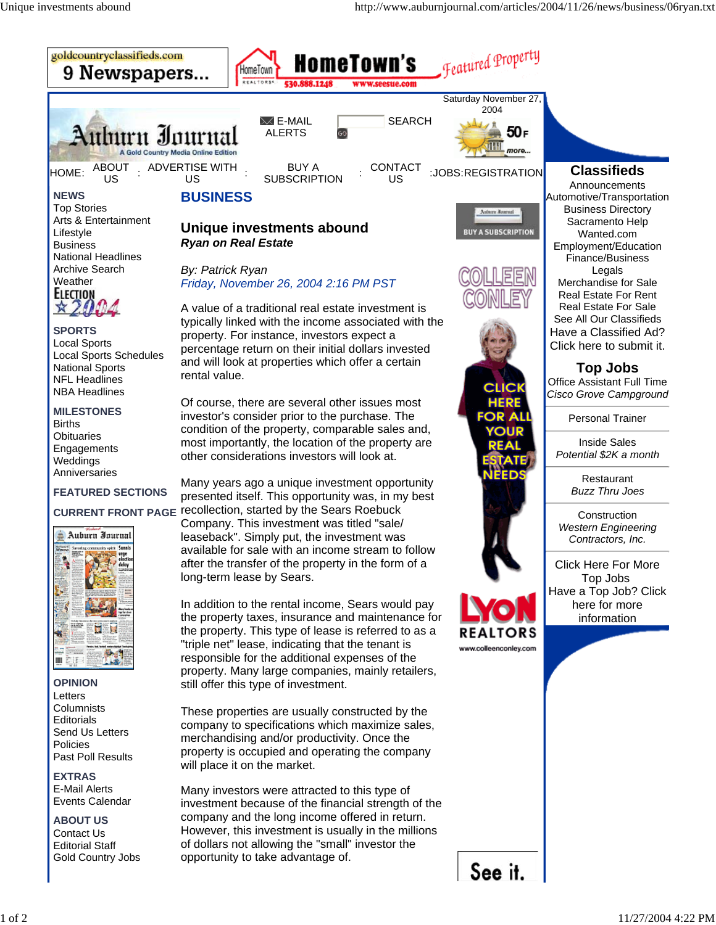